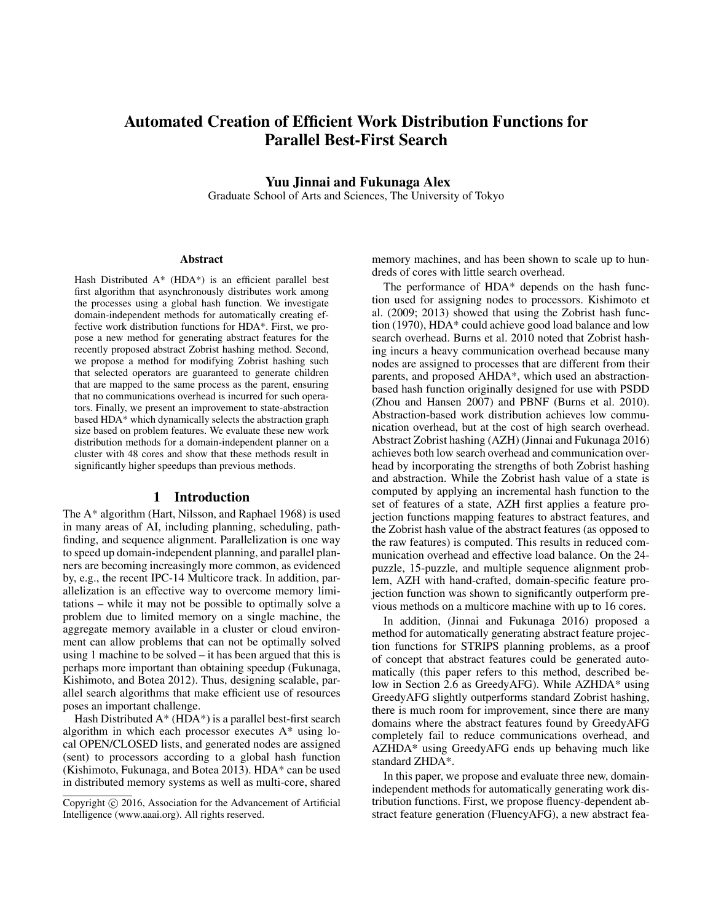# Automated Creation of Efficient Work Distribution Functions for Parallel Best-First Search

Yuu Jinnai and Fukunaga Alex

Graduate School of Arts and Sciences, The University of Tokyo

#### Abstract

Hash Distributed A\* (HDA\*) is an efficient parallel best first algorithm that asynchronously distributes work among the processes using a global hash function. We investigate domain-independent methods for automatically creating effective work distribution functions for HDA\*. First, we propose a new method for generating abstract features for the recently proposed abstract Zobrist hashing method. Second, we propose a method for modifying Zobrist hashing such that selected operators are guaranteed to generate children that are mapped to the same process as the parent, ensuring that no communications overhead is incurred for such operators. Finally, we present an improvement to state-abstraction based HDA\* which dynamically selects the abstraction graph size based on problem features. We evaluate these new work distribution methods for a domain-independent planner on a cluster with 48 cores and show that these methods result in significantly higher speedups than previous methods.

## 1 Introduction

The A\* algorithm (Hart, Nilsson, and Raphael 1968) is used in many areas of AI, including planning, scheduling, pathfinding, and sequence alignment. Parallelization is one way to speed up domain-independent planning, and parallel planners are becoming increasingly more common, as evidenced by, e.g., the recent IPC-14 Multicore track. In addition, parallelization is an effective way to overcome memory limitations – while it may not be possible to optimally solve a problem due to limited memory on a single machine, the aggregate memory available in a cluster or cloud environment can allow problems that can not be optimally solved using 1 machine to be solved – it has been argued that this is perhaps more important than obtaining speedup (Fukunaga, Kishimoto, and Botea 2012). Thus, designing scalable, parallel search algorithms that make efficient use of resources poses an important challenge.

Hash Distributed  $A^*$  (HDA\*) is a parallel best-first search algorithm in which each processor executes A\* using local OPEN/CLOSED lists, and generated nodes are assigned (sent) to processors according to a global hash function (Kishimoto, Fukunaga, and Botea 2013). HDA\* can be used in distributed memory systems as well as multi-core, shared

memory machines, and has been shown to scale up to hundreds of cores with little search overhead.

The performance of HDA\* depends on the hash function used for assigning nodes to processors. Kishimoto et al. (2009; 2013) showed that using the Zobrist hash function (1970), HDA\* could achieve good load balance and low search overhead. Burns et al. 2010 noted that Zobrist hashing incurs a heavy communication overhead because many nodes are assigned to processes that are different from their parents, and proposed AHDA\*, which used an abstractionbased hash function originally designed for use with PSDD (Zhou and Hansen 2007) and PBNF (Burns et al. 2010). Abstraction-based work distribution achieves low communication overhead, but at the cost of high search overhead. Abstract Zobrist hashing (AZH) (Jinnai and Fukunaga 2016) achieves both low search overhead and communication overhead by incorporating the strengths of both Zobrist hashing and abstraction. While the Zobrist hash value of a state is computed by applying an incremental hash function to the set of features of a state, AZH first applies a feature projection functions mapping features to abstract features, and the Zobrist hash value of the abstract features (as opposed to the raw features) is computed. This results in reduced communication overhead and effective load balance. On the 24 puzzle, 15-puzzle, and multiple sequence alignment problem, AZH with hand-crafted, domain-specific feature projection function was shown to significantly outperform previous methods on a multicore machine with up to 16 cores.

In addition, (Jinnai and Fukunaga 2016) proposed a method for automatically generating abstract feature projection functions for STRIPS planning problems, as a proof of concept that abstract features could be generated automatically (this paper refers to this method, described below in Section 2.6 as GreedyAFG). While AZHDA\* using GreedyAFG slightly outperforms standard Zobrist hashing, there is much room for improvement, since there are many domains where the abstract features found by GreedyAFG completely fail to reduce communications overhead, and AZHDA\* using GreedyAFG ends up behaving much like standard ZHDA\*.

In this paper, we propose and evaluate three new, domainindependent methods for automatically generating work distribution functions. First, we propose fluency-dependent abstract feature generation (FluencyAFG), a new abstract fea-

Copyright (c) 2016, Association for the Advancement of Artificial Intelligence (www.aaai.org). All rights reserved.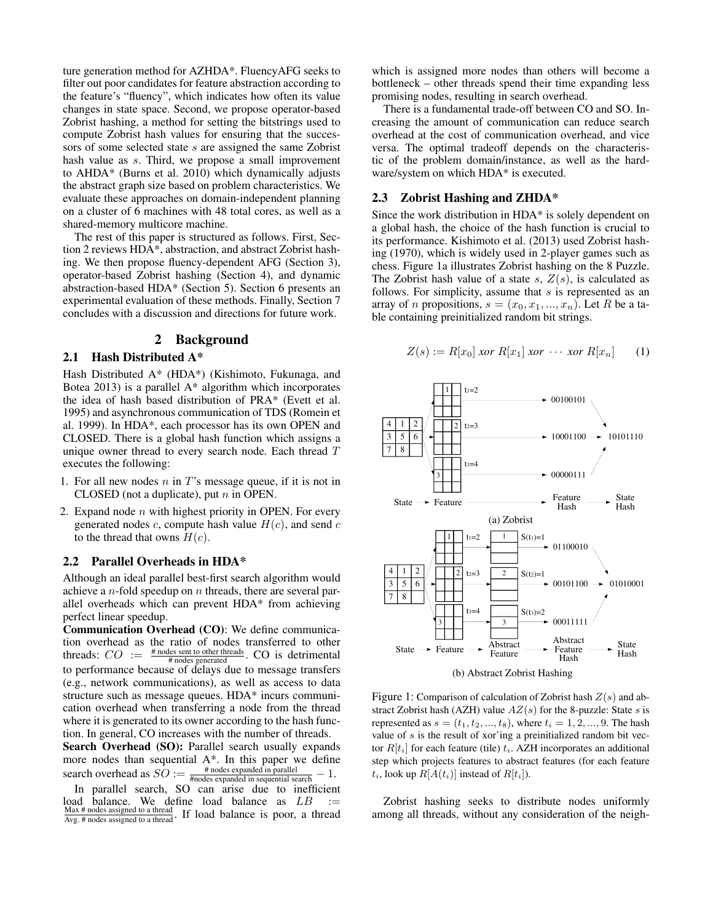ture generation method for AZHDA\*. FluencyAFG seeks to filter out poor candidates for feature abstraction according to the feature's "fluency", which indicates how often its value changes in state space. Second, we propose operator-based Zobrist hashing, a method for setting the bitstrings used to compute Zobrist hash values for ensuring that the successors of some selected state s are assigned the same Zobrist hash value as s. Third, we propose a small improvement to AHDA\* (Burns et al. 2010) which dynamically adjusts the abstract graph size based on problem characteristics. We evaluate these approaches on domain-independent planning on a cluster of 6 machines with 48 total cores, as well as a shared-memory multicore machine.

The rest of this paper is structured as follows. First, Section 2 reviews HDA\*, abstraction, and abstract Zobrist hashing. We then propose fluency-dependent AFG (Section 3), operator-based Zobrist hashing (Section 4), and dynamic abstraction-based HDA\* (Section 5). Section 6 presents an experimental evaluation of these methods. Finally, Section 7 concludes with a discussion and directions for future work.

#### 2 Background

## 2.1 Hash Distributed A\*

Hash Distributed A\* (HDA\*) (Kishimoto, Fukunaga, and Botea 2013) is a parallel A\* algorithm which incorporates the idea of hash based distribution of PRA\* (Evett et al. 1995) and asynchronous communication of TDS (Romein et al. 1999). In HDA\*, each processor has its own OPEN and CLOSED. There is a global hash function which assigns a unique owner thread to every search node. Each thread T executes the following:

- 1. For all new nodes  $n$  in  $T$ 's message queue, if it is not in CLOSED (not a duplicate), put  $n$  in OPEN.
- 2. Expand node  $n$  with highest priority in OPEN. For every generated nodes c, compute hash value  $H(c)$ , and send c to the thread that owns  $H(c)$ .

### 2.2 Parallel Overheads in HDA\*

Although an ideal parallel best-first search algorithm would achieve a  $n$ -fold speedup on  $n$  threads, there are several parallel overheads which can prevent HDA\* from achieving perfect linear speedup.

Communication Overhead (CO): We define communication overhead as the ratio of nodes transferred to other threads:  $CO := \frac{\text{\# nodes sent to other threads}}{\text{\# nodes generated}}$ . CO is detrimental to performance because of delays due to message transfers (e.g., network communications), as well as access to data structure such as message queues. HDA\* incurs communication overhead when transferring a node from the thread where it is generated to its owner according to the hash function. In general, CO increases with the number of threads.

Search Overhead (SO): Parallel search usually expands more nodes than sequential A\*. In this paper we define search overhead as  $SO := \frac{\text{\# nodes expanded in parallel}}{\text{\#nodes expanded in sequential search}} - 1$ .

which is assigned more nodes than others will become a bottleneck – other threads spend their time expanding less promising nodes, resulting in search overhead.

There is a fundamental trade-off between CO and SO. Increasing the amount of communication can reduce search overhead at the cost of communication overhead, and vice versa. The optimal tradeoff depends on the characteristic of the problem domain/instance, as well as the hardware/system on which HDA\* is executed.

## 2.3 Zobrist Hashing and ZHDA\*

Since the work distribution in HDA\* is solely dependent on a global hash, the choice of the hash function is crucial to its performance. Kishimoto et al. (2013) used Zobrist hashing (1970), which is widely used in 2-player games such as chess. Figure 1a illustrates Zobrist hashing on the 8 Puzzle. The Zobrist hash value of a state s,  $Z(s)$ , is calculated as follows. For simplicity, assume that s is represented as an array of *n* propositions,  $s = (x_0, x_1, ..., x_n)$ . Let R be a table containing preinitialized random bit strings.

$$
Z(s) := R[x_0] \text{ nor } R[x_1] \text{ nor } \cdots \text{ nor } R[x_n] \qquad (1)
$$



(b) Abstract Zobrist Hashing

Figure 1: Comparison of calculation of Zobrist hash  $Z(s)$  and abstract Zobrist hash (AZH) value  $AZ(s)$  for the 8-puzzle: State s is represented as  $s = (t_1, t_2, ..., t_8)$ , where  $t_i = 1, 2, ..., 9$ . The hash value of  $s$  is the result of xor'ing a preinitialized random bit vector  $R[t_i]$  for each feature (tile)  $t_i$ . AZH incorporates an additional step which projects features to abstract features (for each feature  $t_i$ , look up  $R[A(t_i)]$  instead of  $R[t_i]$ ).

Zobrist hashing seeks to distribute nodes uniformly among all threads, without any consideration of the neigh-

In parallel search, SO can arise due to inefficient load balance. We define load balance as  $LB := \frac{Max # nodes assigned to a thread}{Avg. # nodes assigned to a thread}$ . If load balance is poor, a thread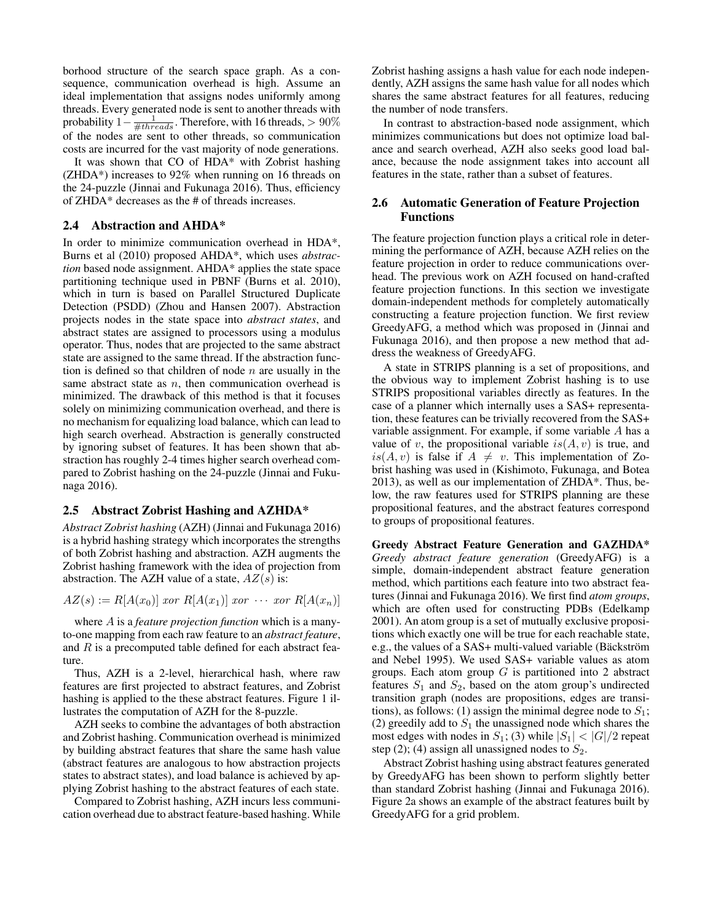borhood structure of the search space graph. As a consequence, communication overhead is high. Assume an ideal implementation that assigns nodes uniformly among threads. Every generated node is sent to another threads with probability  $1-\frac{1}{\#threads}$ . Therefore, with 16 threads, > 90% of the nodes are sent to other threads, so communication costs are incurred for the vast majority of node generations.

It was shown that CO of HDA\* with Zobrist hashing (ZHDA\*) increases to 92% when running on 16 threads on the 24-puzzle (Jinnai and Fukunaga 2016). Thus, efficiency of ZHDA\* decreases as the # of threads increases.

#### 2.4 Abstraction and AHDA\*

In order to minimize communication overhead in HDA\*, Burns et al (2010) proposed AHDA\*, which uses *abstraction* based node assignment. AHDA\* applies the state space partitioning technique used in PBNF (Burns et al. 2010), which in turn is based on Parallel Structured Duplicate Detection (PSDD) (Zhou and Hansen 2007). Abstraction projects nodes in the state space into *abstract states*, and abstract states are assigned to processors using a modulus operator. Thus, nodes that are projected to the same abstract state are assigned to the same thread. If the abstraction function is defined so that children of node  $n$  are usually in the same abstract state as  $n$ , then communication overhead is minimized. The drawback of this method is that it focuses solely on minimizing communication overhead, and there is no mechanism for equalizing load balance, which can lead to high search overhead. Abstraction is generally constructed by ignoring subset of features. It has been shown that abstraction has roughly 2-4 times higher search overhead compared to Zobrist hashing on the 24-puzzle (Jinnai and Fukunaga 2016).

#### 2.5 Abstract Zobrist Hashing and AZHDA\*

*Abstract Zobrist hashing* (AZH) (Jinnai and Fukunaga 2016) is a hybrid hashing strategy which incorporates the strengths of both Zobrist hashing and abstraction. AZH augments the Zobrist hashing framework with the idea of projection from abstraction. The AZH value of a state,  $AZ(s)$  is:

 $AZ(s) := R[A(x_0)]$  xor  $R[A(x_1)]$  xor  $\cdots$  xor  $R[A(x_n)]$ 

where A is a *feature projection function* which is a manyto-one mapping from each raw feature to an *abstract feature*, and  $R$  is a precomputed table defined for each abstract feature.

Thus, AZH is a 2-level, hierarchical hash, where raw features are first projected to abstract features, and Zobrist hashing is applied to the these abstract features. Figure 1 illustrates the computation of AZH for the 8-puzzle.

AZH seeks to combine the advantages of both abstraction and Zobrist hashing. Communication overhead is minimized by building abstract features that share the same hash value (abstract features are analogous to how abstraction projects states to abstract states), and load balance is achieved by applying Zobrist hashing to the abstract features of each state.

Compared to Zobrist hashing, AZH incurs less communication overhead due to abstract feature-based hashing. While Zobrist hashing assigns a hash value for each node independently, AZH assigns the same hash value for all nodes which shares the same abstract features for all features, reducing the number of node transfers.

In contrast to abstraction-based node assignment, which minimizes communications but does not optimize load balance and search overhead, AZH also seeks good load balance, because the node assignment takes into account all features in the state, rather than a subset of features.

## 2.6 Automatic Generation of Feature Projection Functions

The feature projection function plays a critical role in determining the performance of AZH, because AZH relies on the feature projection in order to reduce communications overhead. The previous work on AZH focused on hand-crafted feature projection functions. In this section we investigate domain-independent methods for completely automatically constructing a feature projection function. We first review GreedyAFG, a method which was proposed in (Jinnai and Fukunaga 2016), and then propose a new method that address the weakness of GreedyAFG.

A state in STRIPS planning is a set of propositions, and the obvious way to implement Zobrist hashing is to use STRIPS propositional variables directly as features. In the case of a planner which internally uses a SAS+ representation, these features can be trivially recovered from the SAS+ variable assignment. For example, if some variable A has a value of v, the propositional variable  $is(A, v)$  is true, and  $is(A, v)$  is false if  $A \neq v$ . This implementation of Zobrist hashing was used in (Kishimoto, Fukunaga, and Botea 2013), as well as our implementation of ZHDA\*. Thus, below, the raw features used for STRIPS planning are these propositional features, and the abstract features correspond to groups of propositional features.

Greedy Abstract Feature Generation and GAZHDA\* *Greedy abstract feature generation* (GreedyAFG) is a simple, domain-independent abstract feature generation method, which partitions each feature into two abstract features (Jinnai and Fukunaga 2016). We first find *atom groups*, which are often used for constructing PDBs (Edelkamp 2001). An atom group is a set of mutually exclusive propositions which exactly one will be true for each reachable state, e.g., the values of a SAS+ multi-valued variable (Bäckström and Nebel 1995). We used SAS+ variable values as atom groups. Each atom group  $G$  is partitioned into 2 abstract features  $S_1$  and  $S_2$ , based on the atom group's undirected transition graph (nodes are propositions, edges are transitions), as follows: (1) assign the minimal degree node to  $S_1$ ; (2) greedily add to  $S_1$  the unassigned node which shares the most edges with nodes in  $S_1$ ; (3) while  $|S_1| < |G|/2$  repeat step (2); (4) assign all unassigned nodes to  $S_2$ .

Abstract Zobrist hashing using abstract features generated by GreedyAFG has been shown to perform slightly better than standard Zobrist hashing (Jinnai and Fukunaga 2016). Figure 2a shows an example of the abstract features built by GreedyAFG for a grid problem.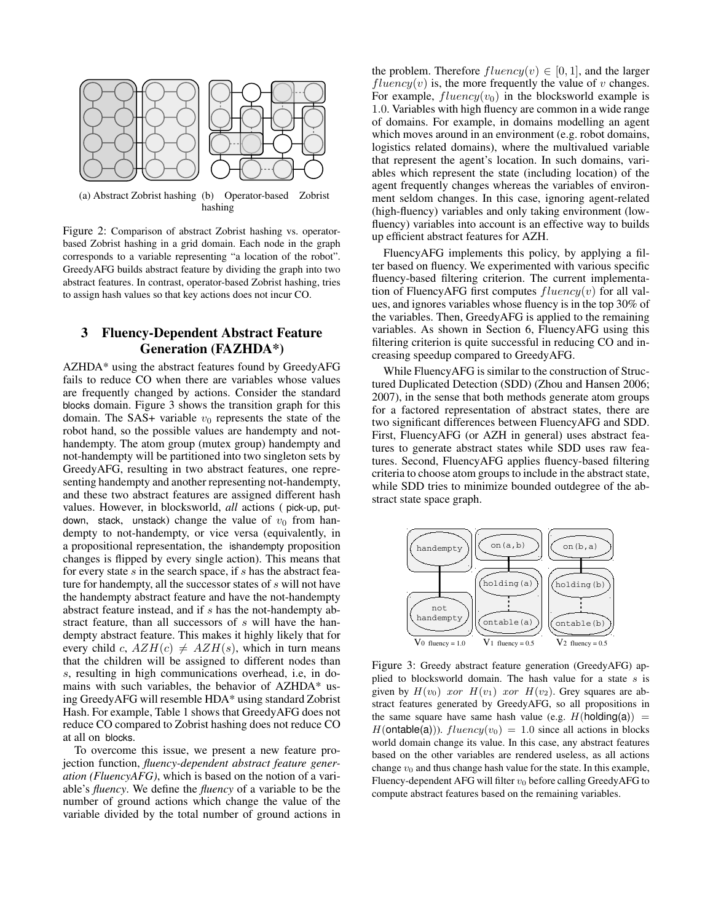

(a) Abstract Zobrist hashing (b) Operator-based Zobrist hashing

Figure 2: Comparison of abstract Zobrist hashing vs. operatorbased Zobrist hashing in a grid domain. Each node in the graph corresponds to a variable representing "a location of the robot". GreedyAFG builds abstract feature by dividing the graph into two abstract features. In contrast, operator-based Zobrist hashing, tries to assign hash values so that key actions does not incur CO.

## 3 Fluency-Dependent Abstract Feature Generation (FAZHDA\*)

AZHDA\* using the abstract features found by GreedyAFG fails to reduce CO when there are variables whose values are frequently changed by actions. Consider the standard blocks domain. Figure 3 shows the transition graph for this domain. The SAS+ variable  $v_0$  represents the state of the robot hand, so the possible values are handempty and nothandempty. The atom group (mutex group) handempty and not-handempty will be partitioned into two singleton sets by GreedyAFG, resulting in two abstract features, one representing handempty and another representing not-handempty, and these two abstract features are assigned different hash values. However, in blocksworld, *all* actions ( pick-up, putdown, stack, unstack) change the value of  $v_0$  from handempty to not-handempty, or vice versa (equivalently, in a propositional representation, the ishandempty proposition changes is flipped by every single action). This means that for every state  $s$  in the search space, if  $s$  has the abstract feature for handempty, all the successor states of s will not have the handempty abstract feature and have the not-handempty abstract feature instead, and if s has the not-handempty abstract feature, than all successors of s will have the handempty abstract feature. This makes it highly likely that for every child c,  $AZH(c) \neq AZH(s)$ , which in turn means that the children will be assigned to different nodes than s, resulting in high communications overhead, i.e, in domains with such variables, the behavior of AZHDA\* using GreedyAFG will resemble HDA\* using standard Zobrist Hash. For example, Table 1 shows that GreedyAFG does not reduce CO compared to Zobrist hashing does not reduce CO at all on blocks.

To overcome this issue, we present a new feature projection function, *fluency-dependent abstract feature generation (FluencyAFG)*, which is based on the notion of a variable's *fluency*. We define the *fluency* of a variable to be the number of ground actions which change the value of the variable divided by the total number of ground actions in

the problem. Therefore  $fluency(v) \in [0, 1]$ , and the larger  $fluency(v)$  is, the more frequently the value of v changes. For example,  $fluency(v_0)$  in the blocksworld example is 1.0. Variables with high fluency are common in a wide range of domains. For example, in domains modelling an agent which moves around in an environment (e.g. robot domains, logistics related domains), where the multivalued variable that represent the agent's location. In such domains, variables which represent the state (including location) of the agent frequently changes whereas the variables of environment seldom changes. In this case, ignoring agent-related (high-fluency) variables and only taking environment (lowfluency) variables into account is an effective way to builds up efficient abstract features for AZH.

FluencyAFG implements this policy, by applying a filter based on fluency. We experimented with various specific fluency-based filtering criterion. The current implementation of FluencyAFG first computes  $fluency(v)$  for all values, and ignores variables whose fluency is in the top 30% of the variables. Then, GreedyAFG is applied to the remaining variables. As shown in Section 6, FluencyAFG using this filtering criterion is quite successful in reducing CO and increasing speedup compared to GreedyAFG.

While FluencyAFG is similar to the construction of Structured Duplicated Detection (SDD) (Zhou and Hansen 2006; 2007), in the sense that both methods generate atom groups for a factored representation of abstract states, there are two significant differences between FluencyAFG and SDD. First, FluencyAFG (or AZH in general) uses abstract features to generate abstract states while SDD uses raw features. Second, FluencyAFG applies fluency-based filtering criteria to choose atom groups to include in the abstract state, while SDD tries to minimize bounded outdegree of the abstract state space graph.



Figure 3: Greedy abstract feature generation (GreedyAFG) applied to blocksworld domain. The hash value for a state  $s$  is given by  $H(v_0)$  xor  $H(v_1)$  xor  $H(v_2)$ . Grey squares are abstract features generated by GreedyAFG, so all propositions in the same square have same hash value (e.g.  $H(holding(a)) =$  $H($ **ontable(a)**)).  $fluency(v_0) = 1.0$  since all actions in blocks world domain change its value. In this case, any abstract features based on the other variables are rendered useless, as all actions change  $v_0$  and thus change hash value for the state. In this example, Fluency-dependent AFG will filter  $v_0$  before calling GreedyAFG to compute abstract features based on the remaining variables.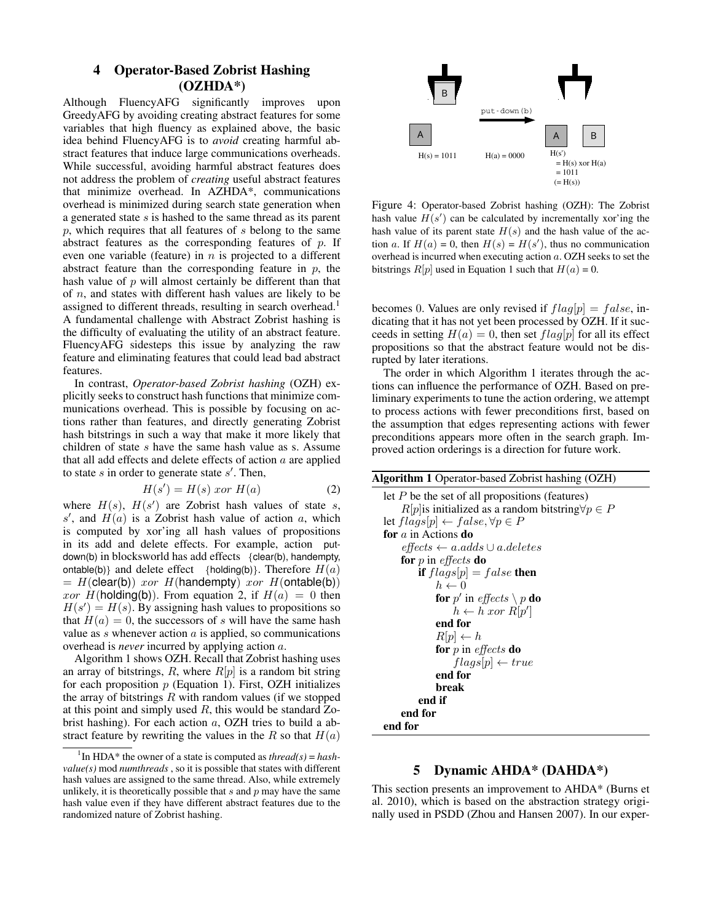## 4 Operator-Based Zobrist Hashing (OZHDA\*)

Although FluencyAFG significantly improves upon GreedyAFG by avoiding creating abstract features for some variables that high fluency as explained above, the basic idea behind FluencyAFG is to *avoid* creating harmful abstract features that induce large communications overheads. While successful, avoiding harmful abstract features does not address the problem of *creating* useful abstract features that minimize overhead. In AZHDA\*, communications overhead is minimized during search state generation when a generated state s is hashed to the same thread as its parent p, which requires that all features of s belong to the same abstract features as the corresponding features of  $p$ . If even one variable (feature) in  $n$  is projected to a different abstract feature than the corresponding feature in  $p$ , the hash value of  $p$  will almost certainly be different than that of  $n$ , and states with different hash values are likely to be assigned to different threads, resulting in search overhead.<sup>1</sup> A fundamental challenge with Abstract Zobrist hashing is the difficulty of evaluating the utility of an abstract feature. FluencyAFG sidesteps this issue by analyzing the raw feature and eliminating features that could lead bad abstract features.

In contrast, *Operator-based Zobrist hashing* (OZH) explicitly seeks to construct hash functions that minimize communications overhead. This is possible by focusing on actions rather than features, and directly generating Zobrist hash bitstrings in such a way that make it more likely that children of state s have the same hash value as s. Assume that all add effects and delete effects of action  $a$  are applied to state  $s$  in order to generate state  $s'$ . Then,

$$
H(s') = H(s) \text{ for } H(a)
$$
 (2)

where  $H(s)$ ,  $H(s')$  are Zobrist hash values of state s, s', and  $H(a)$  is a Zobrist hash value of action a, which is computed by xor'ing all hash values of propositions in its add and delete effects. For example, action putdown(b) in blocksworld has add effects {clear(b), handempty, ontable(b)} and delete effect {holding(b)}. Therefore  $H(a)$  $=$  H(clear(b)) xor H(handempty) xor H(ontable(b)) xor  $H(\text{holding}(\textbf{b}))$ . From equation 2, if  $H(a) = 0$  then  $H(s') = H(s)$ . By assigning hash values to propositions so that  $H(a) = 0$ , the successors of s will have the same hash value as  $s$  whenever action  $a$  is applied, so communications overhead is *never* incurred by applying action a.

Algorithm 1 shows OZH. Recall that Zobrist hashing uses an array of bitstrings,  $R$ , where  $R[p]$  is a random bit string for each proposition  $p$  (Equation 1). First, OZH initializes the array of bitstrings  $R$  with random values (if we stopped at this point and simply used  $R$ , this would be standard Zobrist hashing). For each action a, OZH tries to build a abstract feature by rewriting the values in the R so that  $H(a)$ 



Figure 4: Operator-based Zobrist hashing (OZH): The Zobrist hash value  $H(s')$  can be calculated by incrementally xor'ing the hash value of its parent state  $H(s)$  and the hash value of the action a. If  $H(a) = 0$ , then  $H(s) = H(s')$ , thus no communication overhead is incurred when executing action a. OZH seeks to set the bitstrings  $R[p]$  used in Equation 1 such that  $H(a) = 0$ .

becomes 0. Values are only revised if  $flag[p] = false$ , indicating that it has not yet been processed by OZH. If it succeeds in setting  $H(a) = 0$ , then set  $flag[p]$  for all its effect propositions so that the abstract feature would not be disrupted by later iterations.

The order in which Algorithm 1 iterates through the actions can influence the performance of OZH. Based on preliminary experiments to tune the action ordering, we attempt to process actions with fewer preconditions first, based on the assumption that edges representing actions with fewer preconditions appears more often in the search graph. Improved action orderings is a direction for future work.

| <b>Algorithm 1</b> Operator-based Zobrist hashing (OZH)       |
|---------------------------------------------------------------|
| let $P$ be the set of all propositions (features)             |
| $R[p]$ is initialized as a random bitstring $\forall p \in P$ |
| let $flags[p] \leftarrow false, \forall p \in P$              |
| for $a$ in Actions do                                         |
| $effects \leftarrow a.adds \cup a.deletes$                    |
| for $p$ in <i>effects</i> do                                  |
| <b>if</b> $flags[p] = false$ then                             |
| $h \leftarrow 0$                                              |
| <b>for</b> p' in effects $\setminus p$ <b>do</b>              |
| $h \leftarrow h \; x \text{or} \; R[p']$                      |
| end for                                                       |
| $R[p] \leftarrow h$                                           |
| for p in effects do                                           |
| $flags[p] \leftarrow true$                                    |
| end for                                                       |
| break                                                         |
| end if                                                        |
| end for                                                       |
| end for                                                       |

## 5 Dynamic AHDA\* (DAHDA\*)

This section presents an improvement to AHDA\* (Burns et al. 2010), which is based on the abstraction strategy originally used in PSDD (Zhou and Hansen 2007). In our exper-

<sup>&</sup>lt;sup>1</sup>In HDA\* the owner of a state is computed as *thread(s)* = *hashvalue(s)* mod *numthreads* , so it is possible that states with different hash values are assigned to the same thread. Also, while extremely unlikely, it is theoretically possible that  $s$  and  $p$  may have the same hash value even if they have different abstract features due to the randomized nature of Zobrist hashing.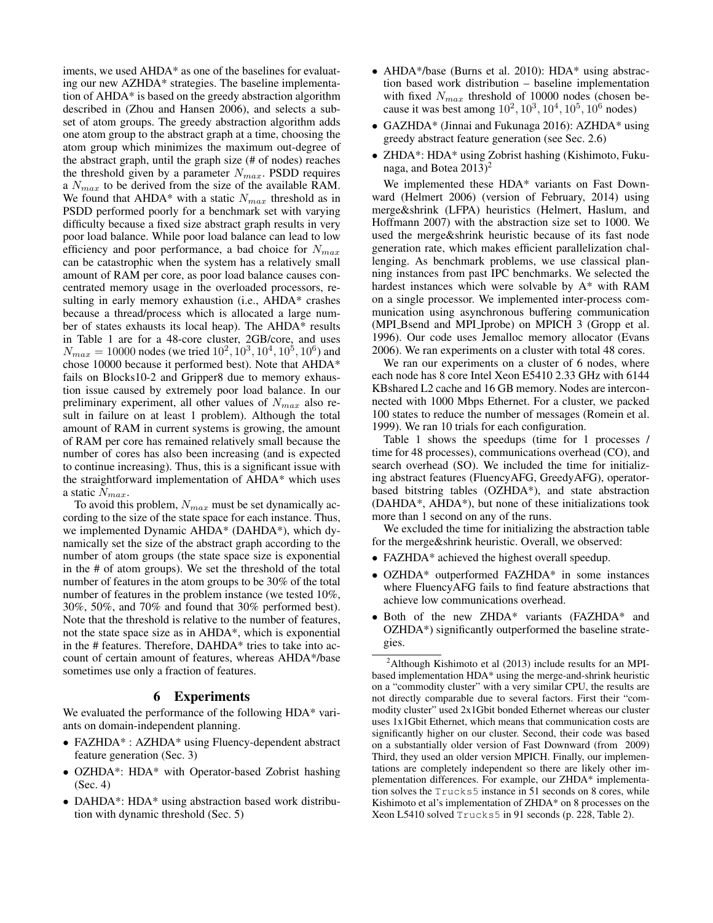iments, we used AHDA\* as one of the baselines for evaluating our new AZHDA\* strategies. The baseline implementation of AHDA\* is based on the greedy abstraction algorithm described in (Zhou and Hansen 2006), and selects a subset of atom groups. The greedy abstraction algorithm adds one atom group to the abstract graph at a time, choosing the atom group which minimizes the maximum out-degree of the abstract graph, until the graph size (# of nodes) reaches the threshold given by a parameter  $N_{max}$ . PSDD requires a  $N_{max}$  to be derived from the size of the available RAM. We found that AHDA\* with a static  $N_{max}$  threshold as in PSDD performed poorly for a benchmark set with varying difficulty because a fixed size abstract graph results in very poor load balance. While poor load balance can lead to low efficiency and poor performance, a bad choice for  $N_{max}$ can be catastrophic when the system has a relatively small amount of RAM per core, as poor load balance causes concentrated memory usage in the overloaded processors, resulting in early memory exhaustion (i.e., AHDA\* crashes because a thread/process which is allocated a large number of states exhausts its local heap). The AHDA\* results in Table 1 are for a 48-core cluster, 2GB/core, and uses  $N_{max} = 10000$  nodes (we tried  $10^2, 10^3, 10^4, 10^5, 10^6$ ) and chose 10000 because it performed best). Note that AHDA\* fails on Blocks10-2 and Gripper8 due to memory exhaustion issue caused by extremely poor load balance. In our preliminary experiment, all other values of  $N_{max}$  also result in failure on at least 1 problem). Although the total amount of RAM in current systems is growing, the amount of RAM per core has remained relatively small because the number of cores has also been increasing (and is expected to continue increasing). Thus, this is a significant issue with the straightforward implementation of AHDA\* which uses a static  $N_{max}$ .

To avoid this problem,  $N_{max}$  must be set dynamically according to the size of the state space for each instance. Thus, we implemented Dynamic AHDA\* (DAHDA\*), which dynamically set the size of the abstract graph according to the number of atom groups (the state space size is exponential in the # of atom groups). We set the threshold of the total number of features in the atom groups to be 30% of the total number of features in the problem instance (we tested 10%, 30%, 50%, and 70% and found that 30% performed best). Note that the threshold is relative to the number of features, not the state space size as in AHDA\*, which is exponential in the # features. Therefore, DAHDA\* tries to take into account of certain amount of features, whereas AHDA\*/base sometimes use only a fraction of features.

## 6 Experiments

We evaluated the performance of the following HDA\* variants on domain-independent planning.

- FAZHDA\*: AZHDA\* using Fluency-dependent abstract feature generation (Sec. 3)
- OZHDA\*: HDA\* with Operator-based Zobrist hashing (Sec. 4)
- DAHDA\*: HDA\* using abstraction based work distribution with dynamic threshold (Sec. 5)
- AHDA\*/base (Burns et al. 2010): HDA\* using abstraction based work distribution – baseline implementation with fixed  $N_{max}$  threshold of 10000 nodes (chosen because it was best among  $10^2, 10^3, 10^4, 10^5, 10^6$  nodes)
- GAZHDA\* (Jinnai and Fukunaga 2016): AZHDA\* using greedy abstract feature generation (see Sec. 2.6)
- ZHDA\*: HDA\* using Zobrist hashing (Kishimoto, Fukunaga, and Botea  $2013$ <sup>2</sup>

We implemented these HDA\* variants on Fast Downward (Helmert 2006) (version of February, 2014) using merge&shrink (LFPA) heuristics (Helmert, Haslum, and Hoffmann 2007) with the abstraction size set to 1000. We used the merge&shrink heuristic because of its fast node generation rate, which makes efficient parallelization challenging. As benchmark problems, we use classical planning instances from past IPC benchmarks. We selected the hardest instances which were solvable by A\* with RAM on a single processor. We implemented inter-process communication using asynchronous buffering communication (MPI Bsend and MPI Iprobe) on MPICH 3 (Gropp et al. 1996). Our code uses Jemalloc memory allocator (Evans 2006). We ran experiments on a cluster with total 48 cores.

We ran our experiments on a cluster of 6 nodes, where each node has 8 core Intel Xeon E5410 2.33 GHz with 6144 KBshared L2 cache and 16 GB memory. Nodes are interconnected with 1000 Mbps Ethernet. For a cluster, we packed 100 states to reduce the number of messages (Romein et al. 1999). We ran 10 trials for each configuration.

Table 1 shows the speedups (time for 1 processes / time for 48 processes), communications overhead (CO), and search overhead (SO). We included the time for initializing abstract features (FluencyAFG, GreedyAFG), operatorbased bitstring tables (OZHDA\*), and state abstraction (DAHDA\*, AHDA\*), but none of these initializations took more than 1 second on any of the runs.

We excluded the time for initializing the abstraction table for the merge&shrink heuristic. Overall, we observed:

- FAZHDA\* achieved the highest overall speedup.
- OZHDA\* outperformed FAZHDA\* in some instances where FluencyAFG fails to find feature abstractions that achieve low communications overhead.
- Both of the new ZHDA\* variants (FAZHDA\* and OZHDA\*) significantly outperformed the baseline strategies.

 $^{2}$ Although Kishimoto et al (2013) include results for an MPIbased implementation HDA\* using the merge-and-shrink heuristic on a "commodity cluster" with a very similar CPU, the results are not directly comparable due to several factors. First their "commodity cluster" used 2x1Gbit bonded Ethernet whereas our cluster uses 1x1Gbit Ethernet, which means that communication costs are significantly higher on our cluster. Second, their code was based on a substantially older version of Fast Downward (from 2009) Third, they used an older version MPICH. Finally, our implementations are completely independent so there are likely other implementation differences. For example, our ZHDA\* implementation solves the Trucks5 instance in 51 seconds on 8 cores, while Kishimoto et al's implementation of ZHDA\* on 8 processes on the Xeon L5410 solved Trucks5 in 91 seconds (p. 228, Table 2).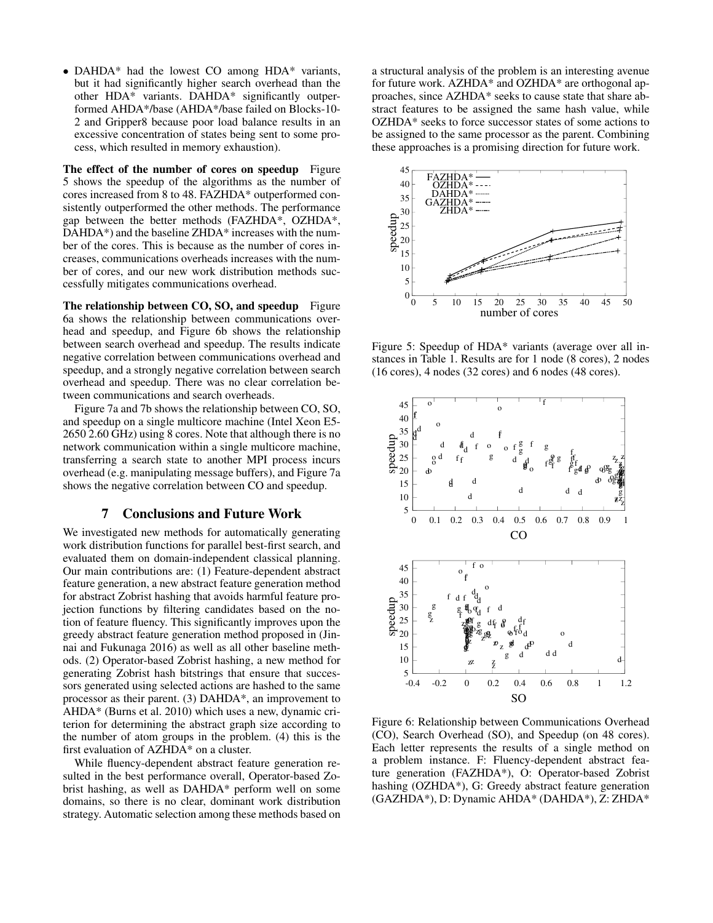• DAHDA\* had the lowest CO among HDA\* variants, but it had significantly higher search overhead than the other HDA\* variants. DAHDA\* significantly outperformed AHDA\*/base (AHDA\*/base failed on Blocks-10- 2 and Gripper8 because poor load balance results in an excessive concentration of states being sent to some process, which resulted in memory exhaustion).

The effect of the number of cores on speedup Figure 5 shows the speedup of the algorithms as the number of cores increased from 8 to 48. FAZHDA\* outperformed consistently outperformed the other methods. The performance gap between the better methods (FAZHDA\*, OZHDA\*, DAHDA<sup>\*</sup>) and the baseline ZHDA<sup>\*</sup> increases with the number of the cores. This is because as the number of cores increases, communications overheads increases with the number of cores, and our new work distribution methods successfully mitigates communications overhead.

The relationship between CO, SO, and speedup Figure 6a shows the relationship between communications overhead and speedup, and Figure 6b shows the relationship between search overhead and speedup. The results indicate negative correlation between communications overhead and speedup, and a strongly negative correlation between search overhead and speedup. There was no clear correlation between communications and search overheads.

Figure 7a and 7b shows the relationship between CO, SO, and speedup on a single multicore machine (Intel Xeon E5- 2650 2.60 GHz) using 8 cores. Note that although there is no network communication within a single multicore machine, transferring a search state to another MPI process incurs overhead (e.g. manipulating message buffers), and Figure 7a shows the negative correlation between CO and speedup.

## 7 Conclusions and Future Work

We investigated new methods for automatically generating work distribution functions for parallel best-first search, and evaluated them on domain-independent classical planning. Our main contributions are: (1) Feature-dependent abstract feature generation, a new abstract feature generation method for abstract Zobrist hashing that avoids harmful feature projection functions by filtering candidates based on the notion of feature fluency. This significantly improves upon the greedy abstract feature generation method proposed in (Jinnai and Fukunaga 2016) as well as all other baseline methods. (2) Operator-based Zobrist hashing, a new method for generating Zobrist hash bitstrings that ensure that successors generated using selected actions are hashed to the same processor as their parent. (3) DAHDA\*, an improvement to AHDA\* (Burns et al. 2010) which uses a new, dynamic criterion for determining the abstract graph size according to the number of atom groups in the problem. (4) this is the first evaluation of AZHDA\* on a cluster.

While fluency-dependent abstract feature generation resulted in the best performance overall, Operator-based Zobrist hashing, as well as DAHDA\* perform well on some domains, so there is no clear, dominant work distribution strategy. Automatic selection among these methods based on

a structural analysis of the problem is an interesting avenue for future work. AZHDA\* and OZHDA\* are orthogonal approaches, since AZHDA\* seeks to cause state that share abstract features to be assigned the same hash value, while OZHDA\* seeks to force successor states of some actions to be assigned to the same processor as the parent. Combining these approaches is a promising direction for future work.



Figure 5: Speedup of HDA\* variants (average over all instances in Table 1. Results are for 1 node (8 cores), 2 nodes (16 cores), 4 nodes (32 cores) and 6 nodes (48 cores).



Figure 6: Relationship between Communications Overhead (CO), Search Overhead (SO), and Speedup (on 48 cores). Each letter represents the results of a single method on a problem instance. F: Fluency-dependent abstract feature generation (FAZHDA\*), O: Operator-based Zobrist hashing (OZHDA\*), G: Greedy abstract feature generation (GAZHDA\*), D: Dynamic AHDA\* (DAHDA\*), Z: ZHDA\*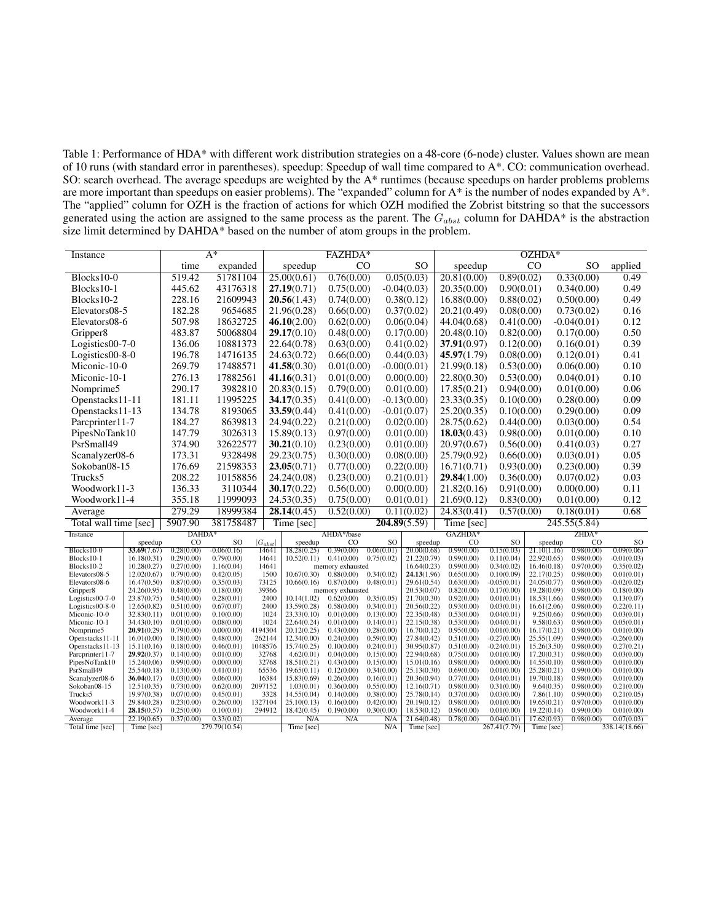Table 1: Performance of HDA\* with different work distribution strategies on a 48-core (6-node) cluster. Values shown are mean of 10 runs (with standard error in parentheses). speedup: Speedup of wall time compared to A\*. CO: communication overhead. SO: search overhead. The average speedups are weighted by the A\* runtimes (because speedups on harder problems problems are more important than speedups on easier problems). The "expanded" column for A\* is the number of nodes expanded by A\*. The "applied" column for OZH is the fraction of actions for which OZH modified the Zobrist bitstring so that the successors generated using the action are assigned to the same process as the parent. The  $G_{abst}$  column for DAHDA\* is the abstraction size limit determined by DAHDA\* based on the number of atom groups in the problem.

| Instance                                |                            |                          | $A^*$                    |                       | FAZHDA*                    |                                |                          |                            | OZHDA*                   |                                |                            |                           |                             |
|-----------------------------------------|----------------------------|--------------------------|--------------------------|-----------------------|----------------------------|--------------------------------|--------------------------|----------------------------|--------------------------|--------------------------------|----------------------------|---------------------------|-----------------------------|
|                                         |                            | time                     | expanded                 |                       | speedup                    | CO                             |                          | <sub>SO</sub>              | speedup                  |                                | CO                         | <sub>SO</sub>             | applied                     |
| $Blocks10-0$                            |                            | 519.42                   | 51781104                 |                       | 25.00(0.61)                | 0.76(0.00)                     |                          | 0.05(0.03)                 | 20.81(0.00)              | 0.89(0.02)                     |                            | 0.33(0.00)                | 0.49                        |
| Blocks10-1                              |                            | 445.62                   | 43176318                 |                       | 27.19(0.71)                | 0.75(0.00)                     |                          | $-0.04(0.03)$              | 20.35(0.00)              | 0.90(0.01)                     |                            | 0.34(0.00)                | 0.49                        |
| Blocks10-2                              |                            | 228.16                   | 21609943                 |                       | 20.56(1.43)                | 0.74(0.00)                     |                          | 0.38(0.12)                 | 16.88(0.00)              | 0.88(0.02)                     |                            | 0.50(0.00)                | 0.49                        |
| Elevators08-5                           |                            | 182.28                   | 9654685                  |                       | 21.96(0.28)                | 0.66(0.00)                     |                          | 0.37(0.02)                 | 20.21(0.49)              | 0.08(0.00)                     |                            | 0.73(0.02)                | 0.16                        |
| Elevators08-6                           |                            | 507.98                   | 18632725                 |                       | 46.10(2.00)                | 0.62(0.00)                     |                          | 0.06(0.04)                 | 44.04(0.68)              | 0.41(0.00)                     |                            | $-0.04(0.01)$             | 0.12                        |
| Gripper8                                |                            | 483.87                   | 50068804                 |                       | 29.17(0.10)                | 0.48(0.00)                     |                          | 0.17(0.00)                 | 20.48(0.10)              | 0.82(0.00)                     |                            | 0.17(0.00)                | 0.50                        |
|                                         |                            | 136.06                   | 10881373                 |                       | 22.64(0.78)                | 0.63(0.00)                     |                          | 0.41(0.02)                 | 37.91(0.97)              | 0.12(0.00)                     |                            | 0.16(0.01)                | 0.39                        |
| Logistics00-7-0                         |                            |                          |                          |                       |                            |                                |                          |                            |                          |                                |                            |                           |                             |
| Logistics00-8-0                         |                            | 196.78                   | 14716135                 |                       | 24.63(0.72)                | 0.66(0.00)                     |                          | 0.44(0.03)                 | 45.97(1.79)              | 0.08(0.00)                     |                            | 0.12(0.01)                | 0.41                        |
| Miconic-10-0                            |                            | 269.79                   | 17488571                 |                       | 41.58(0.30)                | 0.01(0.00)                     |                          | $-0.00(0.01)$              | 21.99(0.18)              | 0.53(0.00)                     |                            | 0.06(0.00)                | 0.10                        |
| Miconic-10-1                            |                            | 276.13                   | 17882561                 |                       | 41.16(0.31)                | 0.01(0.00)                     | 0.00(0.00)               |                            | 22.80(0.30)              | 0.53(0.00)                     |                            | 0.04(0.01)                | 0.10                        |
| Nomprime5                               |                            | 290.17                   | 3982810                  |                       | 20.83(0.15)                | 0.79(0.00)                     |                          | 0.01(0.00)                 | 17.85(0.21)              | 0.94(0.00)                     |                            | 0.01(0.00)                | 0.06                        |
| Openstacks11-11                         |                            | 181.11                   | 11995225                 |                       | 34.17(0.35)                | 0.41(0.00)                     |                          | $-0.13(0.00)$              | 23.33(0.35)              | 0.10(0.00)                     |                            | 0.28(0.00)                | 0.09                        |
| Openstacks11-13                         |                            | 134.78                   | 8193065                  |                       | 33.59(0.44)                | 0.41(0.00)                     |                          | $-0.01(0.07)$              | 25.20(0.35)              | 0.10(0.00)                     |                            | 0.29(0.00)                | 0.09                        |
| Parcprinter11-7                         |                            | 184.27                   | 8639813                  |                       | 24.94(0.22)                | 0.21(0.00)                     |                          | 0.02(0.00)                 | 28.75(0.62)              | 0.44(0.00)                     |                            | 0.03(0.00)                | 0.54                        |
| PipesNoTank10                           |                            | 147.79                   | 3026313                  |                       | 15.89(0.13)                | 0.97(0.00)                     |                          | 0.01(0.00)                 | 18.03(0.43)              | 0.98(0.00)                     |                            | 0.01(0.00)                | 0.10                        |
| PsrSmall49                              |                            | 374.90                   | 32622577                 |                       | 30.21(0.10)                | 0.23(0.00)                     |                          | 0.01(0.00)                 | 20.97(0.67)              | 0.56(0.00)                     |                            | 0.41(0.03)                | 0.27                        |
|                                         |                            | 173.31                   | 9328498                  |                       | 29.23(0.75)                | 0.30(0.00)                     |                          | 0.08(0.00)                 | 25.79(0.92)              | 0.66(0.00)                     |                            | 0.03(0.01)                | 0.05                        |
| Scanalyzer08-6                          |                            |                          |                          |                       |                            |                                |                          |                            |                          |                                |                            |                           | 0.39                        |
| Sokoban08-15                            |                            | 176.69                   | 21598353                 |                       | 23.05(0.71)                | 0.77(0.00)                     |                          | 0.22(0.00)                 | 16.71(0.71)              | 0.93(0.00)                     |                            | 0.23(0.00)                |                             |
| Trucks5                                 |                            | 208.22                   | 10158856                 |                       | 24.24(0.08)                | 0.23(0.00)                     |                          | 0.21(0.01)                 | 29.84(1.00)              | 0.36(0.00)                     |                            | 0.07(0.02)                | 0.03                        |
| Woodwork11-3                            |                            | 136.33                   | 3110344                  |                       | 30.17(0.22)                | 0.56(0.00)                     |                          | 0.00(0.00)                 | 21.82(0.16)              | 0.91(0.00)                     |                            | 0.00(0.00)                | 0.11                        |
| Woodwork11-4                            |                            | 355.18                   | 11999093                 |                       | 24.53(0.35)                | 0.75(0.00)                     |                          | 0.01(0.01)                 | 21.69(0.12)              | 0.83(0.00)                     |                            | 0.01(0.00)                | 0.12                        |
| Average                                 |                            | 279.29                   | 18999384                 |                       | 28.14(0.45)                | 0.52(0.00)                     |                          | 0.11(0.02)                 | 24.83(0.41)              | 0.57(0.00)                     |                            | 0.18(0.01)                | 0.68                        |
| Total wall time [sec]                   |                            | 5907.90                  | 381758487                |                       | Time [sec]                 | 204.89(5.59)                   |                          |                            | Time [sec]               |                                | 245.55(5.84)               |                           |                             |
| <b>Instance</b>                         |                            | DAHDA*                   |                          |                       |                            | AHDA*/base                     |                          | GAZHDA*                    |                          |                                |                            | $ZHDA*$                   |                             |
| $Blocks10-0$                            | speedup<br>33.69(7.67)     | CO<br>0.28(0.00)         | SO<br>$-0.06(0.16)$      | $ G_{abst} $<br>14641 | speedup<br>18.28(0.25)     | CO<br>0.39(0.00)               | SO<br>0.06(0.01)         | speedup<br>20.00(0.68)     | CO<br>0.99(0.00)         | SO<br>0.15(0.03)               | speedup<br>21.10(1.16)     | $_{\rm CO}$<br>0.98(0.00) | SO<br>0.09(0.06)            |
| Blocks10-1                              | 16.18(0.31)                | 0.29(0.00)               | 0.79(0.00)               | 14641                 | 10.52(0.11)                | 0.41(0.00)                     | 0.75(0.02)               | 21.22(0.79)                | 0.99(0.00)               | 0.11(0.04)                     | 22.92(0.65)                | 0.98(0.00)                | $-0.01(0.03)$               |
| Blocks10-2                              | 10.28(0.27)                | 0.27(0.00)               | 1.16(0.04)               | 14641                 |                            | memory exhausted               |                          | 16.64(0.23)                | 0.99(0.00)               | 0.34(0.02)                     | 16.46(0.18)                | 0.97(0.00)                | 0.35(0.02)                  |
| Elevators08-5                           | 12.02(0.67)                | 0.79(0.00)               | 0.42(0.05)               | 1500                  | 10.67(0.30)                | 0.88(0.00)                     | 0.34(0.02)               | 24.13(1.96)                | 0.65(0.00)               | 0.10(0.09)                     | 22.17(0.25)                | 0.98(0.00)                | 0.01(0.01)                  |
| Elevators08-6                           | 16.47(0.50)<br>24.26(0.95) | 0.87(0.00)<br>0.48(0.00) | 0.35(0.03)<br>0.18(0.00) | 73125<br>39366        | 10.66(0.16)                | 0.87(0.00)<br>memory exhausted | 0.48(0.01)               | 29.61(0.54)<br>20.53(0.07) | 0.63(0.00)               | $-0.05(0.01)$<br>0.17(0.00)    | 24.05(0.77)<br>19.28(0.09) | 0.96(0.00)<br>0.98(0.00)  | $-0.02(0.02)$<br>0.18(0.00) |
| Gripper <sub>8</sub><br>Logistics00-7-0 | 23.87(0.75)                | 0.54(0.00)               | 0.28(0.01)               | 2400                  | 10.14(1.02)                | 0.62(0.00)                     | 0.35(0.05)               | 21.70(0.30)                | 0.82(0.00)<br>0.92(0.00) | 0.01(0.01)                     | 18.53(1.66)                | 0.98(0.00)                | 0.13(0.07)                  |
| Logistics00-8-0                         | 12.65(0.82)                | 0.51(0.00)               | 0.67(0.07)               | 2400                  | 13.59(0.28)                | 0.58(0.00)                     | 0.34(0.01)               | 20.56(0.22)                | 0.93(0.00)               | 0.03(0.01)                     | 16.61(2.06)                | 0.98(0.00)                | 0.22(0.11)                  |
| Miconic-10-0                            | 32.83(0.11)                | 0.01(0.00)               | 0.10(0.00)               | 1024                  | 23.33(0.10)                | 0.01(0.00)                     | 0.13(0.00)               | 22.35(0.48)                | 0.53(0.00)               | 0.04(0.01)                     | 9.25(0.66)                 | 0.96(0.00)                | 0.03(0.01)                  |
| Miconic-10-1                            | 34.43(0.10)                | 0.01(0.00)               | 0.08(0.00)               | 1024                  | 22.64(0.24)                | 0.01(0.00)                     | 0.14(0.01)               | 22.15(0.38)                | 0.53(0.00)               | 0.04(0.01)                     | 9.58(0.63)                 | 0.96(0.00)                | 0.05(0.01)                  |
| Nomprime5                               | 20.91(0.29)                | 0.79(0.00)               | 0.00(0.00)               | 4194304               | 20.12(0.25)<br>12.34(0.00) | 0.43(0.00)                     | 0.28(0.00)<br>0.59(0.00) | 16.70(0.12)                | 0.95(0.00)               | 0.01(0.00)                     | 16.17(0.21)                | 0.98(0.00)                | 0.01(0.00)                  |
| Openstacks11-11<br>Openstacks11-13      | 16.01(0.00)<br>15.11(0.16) | 0.18(0.00)<br>0.18(0.00) | 0.48(0.00)<br>0.46(0.01) | 262144<br>1048576     | 15.74(0.25)                | 0.24(0.00)<br>0.10(0.00)       | 0.24(0.01)               | 27.84(0.42)<br>30.95(0.87) | 0.51(0.00)<br>0.51(0.00) | $-0.27(0.00)$<br>$-0.24(0.01)$ | 25.55(1.09)<br>15.26(3.50) | 0.99(0.00)<br>0.98(0.00)  | $-0.26(0.00)$<br>0.27(0.21) |
| Parcprinter11-7                         | 29.92(0.37)                | 0.14(0.00)               | 0.01(0.00)               | 32768                 | 4.62(0.01)                 | 0.04(0.00)                     | 0.15(0.00)               | 22.94(0.68)                | 0.75(0.00)               | 0.01(0.00)                     | 17.20(0.31)                | 0.98(0.00)                | 0.03(0.00)                  |
| PipesNoTank10                           | 15.24(0.06)                | 0.99(0.00)               | 0.00(0.00)               | 32768                 | 18.51(0.21)                | 0.43(0.00)                     | 0.15(0.00)               | 15.01(0.16)                | 0.98(0.00)               | 0.00(0.00)                     | 14.55(0.10)                | 0.98(0.00)                | 0.01(0.00)                  |
| PsrSmall49                              | 25.54(0.18)                | 0.13(0.00)               | 0.41(0.01)               | 65536                 | 19.65(0.11)                | 0.12(0.00)                     | 0.34(0.00)               | 25.13(0.30)                | 0.69(0.00)               | 0.01(0.00)                     | 25.28(0.21)                | 0.99(0.00)                | 0.01(0.00)                  |
| Scanalyzer08-6                          | 36.04(0.17)                | 0.03(0.00)               | 0.06(0.00)               | 16384                 | 15.83(0.69)                | 0.26(0.00)                     | 0.16(0.01)               | 20.36(0.94)                | 0.77(0.00)               | 0.04(0.01)                     | 19.70(0.18)                | 0.98(0.00)                | 0.01(0.00)                  |
| Sokoban08-15                            | 12.51(0.35)                | 0.73(0.00)               | 0.62(0.00)               | 2097152               | 1.03(0.01)                 | 0.36(0.00)                     | 0.55(0.00)               | 12.16(0.71)                | 0.98(0.00)               | 0.31(0.00)                     | 9.64(0.35)                 | 0.98(0.00)                | 0.21(0.00)                  |
| Trucks5<br>Woodwork11-3                 | 19.97(0.38)<br>29.84(0.28) | 0.07(0.00)<br>0.23(0.00) | 0.45(0.01)<br>0.26(0.00) | 3328<br>1327104       | 14.55(0.04)<br>25.10(0.13) | 0.14(0.00)<br>0.16(0.00)       | 0.38(0.00)<br>0.42(0.00) | 25.78(0.14)<br>20.19(0.12) | 0.37(0.00)<br>0.98(0.00) | 0.03(0.00)<br>0.01(0.00)       | 7.86(1.10)<br>19.65(0.21)  | 0.99(0.00)<br>0.97(0.00)  | 0.21(0.05)<br>0.01(0.00)    |
| Woodwork11-4                            | 28.15(0.57)                | 0.25(0.00)               | 0.10(0.01)               | 294912                | 18.42(0.45)                | 0.19(0.00)                     | 0.30(0.00)               | 18.53(0.12)                | 0.96(0.00)               | 0.01(0.00)                     | 19.22(0.14)                | 0.99(0.00)                | 0.01(0.00)                  |
| Average                                 | 22.19(0.65)                | 0.37(0.00)               | 0.33(0.02)               |                       | N/A                        | N/A                            | N/A                      | 21.64(0.48)                | 0.78(0.00)               | 0.04(0.01)                     | 17.62(0.93)                | 0.98(0.00)                | 0.07(0.03)                  |
| Total time [sec]                        | Time [sec]                 |                          | 279.79(10.54)            |                       | Time [sec]                 |                                | N/A                      | Time [sec]                 |                          | 267.41(7.79)                   | Time [sec]                 |                           | 338.14(18.66)               |